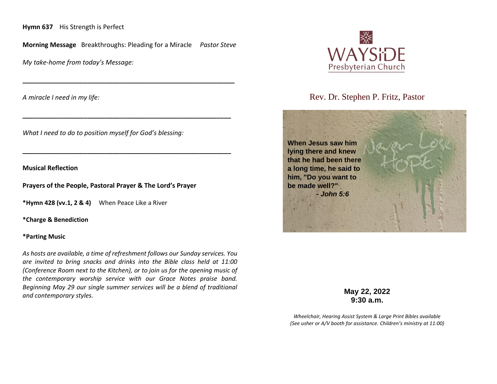**Hymn 637** His Strength is Perfect

**Morning Message** Breakthroughs: Pleading for a Miracle *Pastor Steve*

**\_\_\_\_\_\_\_\_\_\_\_\_\_\_\_\_\_\_\_\_\_\_\_\_\_\_\_\_\_\_\_\_\_\_\_\_\_\_\_\_\_\_\_\_\_\_\_\_\_\_\_\_\_\_\_\_\_\_\_**

**\_\_\_\_\_\_\_\_\_\_\_\_\_\_\_\_\_\_\_\_\_\_\_\_\_\_\_\_\_\_\_\_\_\_\_\_\_\_\_\_\_\_\_\_\_\_\_\_\_\_\_\_\_\_\_\_\_\_**

**\_\_\_\_\_\_\_\_\_\_\_\_\_\_\_\_\_\_\_\_\_\_\_\_\_\_\_\_\_\_\_\_\_\_\_\_\_\_\_\_\_\_\_\_\_\_\_\_\_\_\_\_\_\_\_\_\_\_**

*My take-home from today's Message:*

*A miracle I need in my life:*

*What I need to do to position myself for God's blessing:*

**Musical Reflection**

**Prayers of the People, Pastoral Prayer & The Lord's Prayer**

**\*Hymn 428 (vv.1, 2 & 4)** When Peace Like a River

**\*Charge & Benediction**

## **\*Parting Music**

*As hosts are available, a time of refreshment follows our Sunday services. You are invited to bring snacks and drinks into the Bible class held at 11:00 (Conference Room next to the Kitchen), or to join us for the opening music of the contemporary worship service with our Grace Notes praise band. Beginning May 29 our single summer services will be a blend of traditional and contemporary styles.*



Rev. Dr. Stephen P. Fritz, Pastor



**May 22, 2022 9:30 a.m.**

*Wheelchair, Hearing Assist System & Large Print Bibles available (See usher or A/V booth for assistance. Children's ministry at 11:00)*